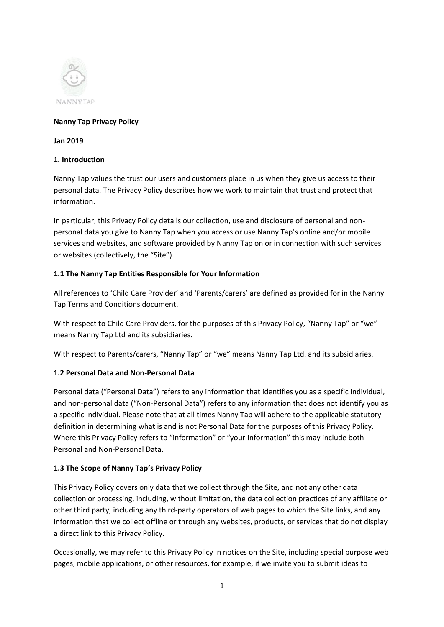

#### **Nanny Tap Privacy Policy**

#### **Jan 2019**

#### **1. Introduction**

Nanny Tap values the trust our users and customers place in us when they give us access to their personal data. The Privacy Policy describes how we work to maintain that trust and protect that information.

In particular, this Privacy Policy details our collection, use and disclosure of personal and nonpersonal data you give to Nanny Tap when you access or use Nanny Tap's online and/or mobile services and websites, and software provided by Nanny Tap on or in connection with such services or websites (collectively, the "Site").

#### **1.1 The Nanny Tap Entities Responsible for Your Information**

All references to 'Child Care Provider' and 'Parents/carers' are defined as provided for in the Nanny Tap Terms and Conditions document.

With respect to Child Care Providers, for the purposes of this Privacy Policy, "Nanny Tap" or "we" means Nanny Tap Ltd and its subsidiaries.

With respect to Parents/carers, "Nanny Tap" or "we" means Nanny Tap Ltd. and its subsidiaries.

### **1.2 Personal Data and Non-Personal Data**

Personal data ("Personal Data") refers to any information that identifies you as a specific individual, and non-personal data ("Non-Personal Data") refers to any information that does not identify you as a specific individual. Please note that at all times Nanny Tap will adhere to the applicable statutory definition in determining what is and is not Personal Data for the purposes of this Privacy Policy. Where this Privacy Policy refers to "information" or "your information" this may include both Personal and Non-Personal Data.

### **1.3 The Scope of Nanny Tap's Privacy Policy**

This Privacy Policy covers only data that we collect through the Site, and not any other data collection or processing, including, without limitation, the data collection practices of any affiliate or other third party, including any third-party operators of web pages to which the Site links, and any information that we collect offline or through any websites, products, or services that do not display a direct link to this Privacy Policy.

Occasionally, we may refer to this Privacy Policy in notices on the Site, including special purpose web pages, mobile applications, or other resources, for example, if we invite you to submit ideas to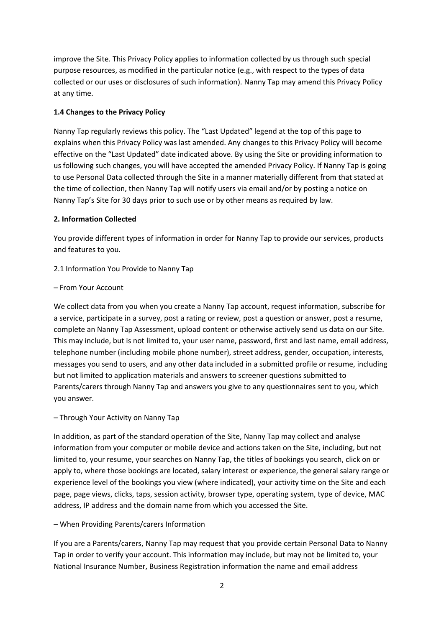improve the Site. This Privacy Policy applies to information collected by us through such special purpose resources, as modified in the particular notice (e.g., with respect to the types of data collected or our uses or disclosures of such information). Nanny Tap may amend this Privacy Policy at any time.

## **1.4 Changes to the Privacy Policy**

Nanny Tap regularly reviews this policy. The "Last Updated" legend at the top of this page to explains when this Privacy Policy was last amended. Any changes to this Privacy Policy will become effective on the "Last Updated" date indicated above. By using the Site or providing information to us following such changes, you will have accepted the amended Privacy Policy. If Nanny Tap is going to use Personal Data collected through the Site in a manner materially different from that stated at the time of collection, then Nanny Tap will notify users via email and/or by posting a notice on Nanny Tap's Site for 30 days prior to such use or by other means as required by law.

### **2. Information Collected**

You provide different types of information in order for Nanny Tap to provide our services, products and features to you.

### 2.1 Information You Provide to Nanny Tap

#### – From Your Account

We collect data from you when you create a Nanny Tap account, request information, subscribe for a service, participate in a survey, post a rating or review, post a question or answer, post a resume, complete an Nanny Tap Assessment, upload content or otherwise actively send us data on our Site. This may include, but is not limited to, your user name, password, first and last name, email address, telephone number (including mobile phone number), street address, gender, occupation, interests, messages you send to users, and any other data included in a submitted profile or resume, including but not limited to application materials and answers to screener questions submitted to Parents/carers through Nanny Tap and answers you give to any questionnaires sent to you, which you answer.

### – Through Your Activity on Nanny Tap

In addition, as part of the standard operation of the Site, Nanny Tap may collect and analyse information from your computer or mobile device and actions taken on the Site, including, but not limited to, your resume, your searches on Nanny Tap, the titles of bookings you search, click on or apply to, where those bookings are located, salary interest or experience, the general salary range or experience level of the bookings you view (where indicated), your activity time on the Site and each page, page views, clicks, taps, session activity, browser type, operating system, type of device, MAC address, IP address and the domain name from which you accessed the Site.

### – When Providing Parents/carers Information

If you are a Parents/carers, Nanny Tap may request that you provide certain Personal Data to Nanny Tap in order to verify your account. This information may include, but may not be limited to, your National Insurance Number, Business Registration information the name and email address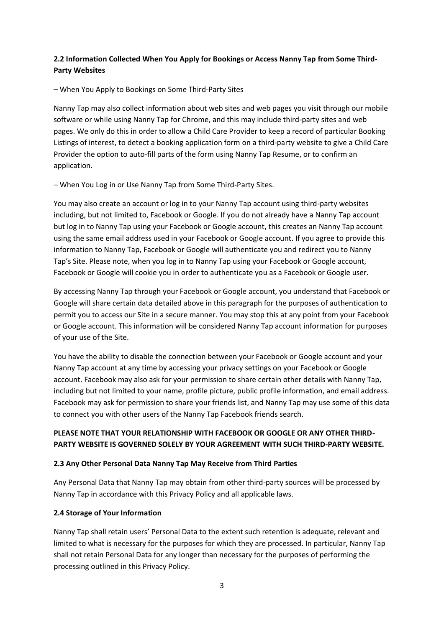# **2.2 Information Collected When You Apply for Bookings or Access Nanny Tap from Some Third-Party Websites**

– When You Apply to Bookings on Some Third-Party Sites

Nanny Tap may also collect information about web sites and web pages you visit through our mobile software or while using Nanny Tap for Chrome, and this may include third-party sites and web pages. We only do this in order to allow a Child Care Provider to keep a record of particular Booking Listings of interest, to detect a booking application form on a third-party website to give a Child Care Provider the option to auto-fill parts of the form using Nanny Tap Resume, or to confirm an application.

– When You Log in or Use Nanny Tap from Some Third-Party Sites.

You may also create an account or log in to your Nanny Tap account using third-party websites including, but not limited to, Facebook or Google. If you do not already have a Nanny Tap account but log in to Nanny Tap using your Facebook or Google account, this creates an Nanny Tap account using the same email address used in your Facebook or Google account. If you agree to provide this information to Nanny Tap, Facebook or Google will authenticate you and redirect you to Nanny Tap's Site. Please note, when you log in to Nanny Tap using your Facebook or Google account, Facebook or Google will cookie you in order to authenticate you as a Facebook or Google user.

By accessing Nanny Tap through your Facebook or Google account, you understand that Facebook or Google will share certain data detailed above in this paragraph for the purposes of authentication to permit you to access our Site in a secure manner. You may stop this at any point from your Facebook or Google account. This information will be considered Nanny Tap account information for purposes of your use of the Site.

You have the ability to disable the connection between your Facebook or Google account and your Nanny Tap account at any time by accessing your privacy settings on your Facebook or Google account. Facebook may also ask for your permission to share certain other details with Nanny Tap, including but not limited to your name, profile picture, public profile information, and email address. Facebook may ask for permission to share your friends list, and Nanny Tap may use some of this data to connect you with other users of the Nanny Tap Facebook friends search.

# **PLEASE NOTE THAT YOUR RELATIONSHIP WITH FACEBOOK OR GOOGLE OR ANY OTHER THIRD-PARTY WEBSITE IS GOVERNED SOLELY BY YOUR AGREEMENT WITH SUCH THIRD-PARTY WEBSITE.**

### **2.3 Any Other Personal Data Nanny Tap May Receive from Third Parties**

Any Personal Data that Nanny Tap may obtain from other third-party sources will be processed by Nanny Tap in accordance with this Privacy Policy and all applicable laws.

### **2.4 Storage of Your Information**

Nanny Tap shall retain users' Personal Data to the extent such retention is adequate, relevant and limited to what is necessary for the purposes for which they are processed. In particular, Nanny Tap shall not retain Personal Data for any longer than necessary for the purposes of performing the processing outlined in this Privacy Policy.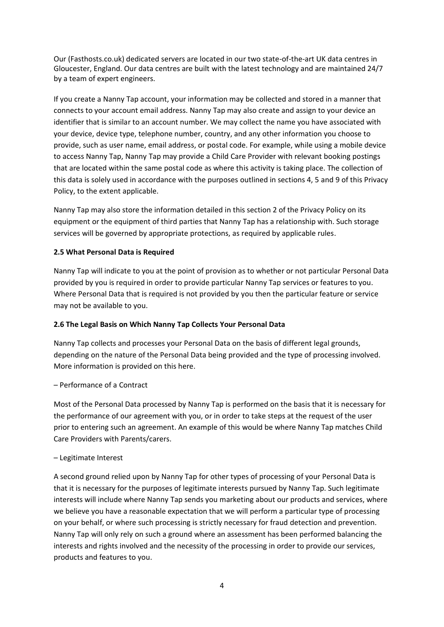Our (Fasthosts.co.uk) dedicated servers are located in our two state-of-the-art UK data centres in Gloucester, England. Our data centres are built with the latest technology and are maintained 24/7 by a team of expert engineers.

If you create a Nanny Tap account, your information may be collected and stored in a manner that connects to your account email address. Nanny Tap may also create and assign to your device an identifier that is similar to an account number. We may collect the name you have associated with your device, device type, telephone number, country, and any other information you choose to provide, such as user name, email address, or postal code. For example, while using a mobile device to access Nanny Tap, Nanny Tap may provide a Child Care Provider with relevant booking postings that are located within the same postal code as where this activity is taking place. The collection of this data is solely used in accordance with the purposes outlined in sections 4, 5 and 9 of this Privacy Policy, to the extent applicable.

Nanny Tap may also store the information detailed in this section 2 of the Privacy Policy on its equipment or the equipment of third parties that Nanny Tap has a relationship with. Such storage services will be governed by appropriate protections, as required by applicable rules.

### **2.5 What Personal Data is Required**

Nanny Tap will indicate to you at the point of provision as to whether or not particular Personal Data provided by you is required in order to provide particular Nanny Tap services or features to you. Where Personal Data that is required is not provided by you then the particular feature or service may not be available to you.

### **2.6 The Legal Basis on Which Nanny Tap Collects Your Personal Data**

Nanny Tap collects and processes your Personal Data on the basis of different legal grounds, depending on the nature of the Personal Data being provided and the type of processing involved. More information is provided on this here.

### – Performance of a Contract

Most of the Personal Data processed by Nanny Tap is performed on the basis that it is necessary for the performance of our agreement with you, or in order to take steps at the request of the user prior to entering such an agreement. An example of this would be where Nanny Tap matches Child Care Providers with Parents/carers.

### – Legitimate Interest

A second ground relied upon by Nanny Tap for other types of processing of your Personal Data is that it is necessary for the purposes of legitimate interests pursued by Nanny Tap. Such legitimate interests will include where Nanny Tap sends you marketing about our products and services, where we believe you have a reasonable expectation that we will perform a particular type of processing on your behalf, or where such processing is strictly necessary for fraud detection and prevention. Nanny Tap will only rely on such a ground where an assessment has been performed balancing the interests and rights involved and the necessity of the processing in order to provide our services, products and features to you.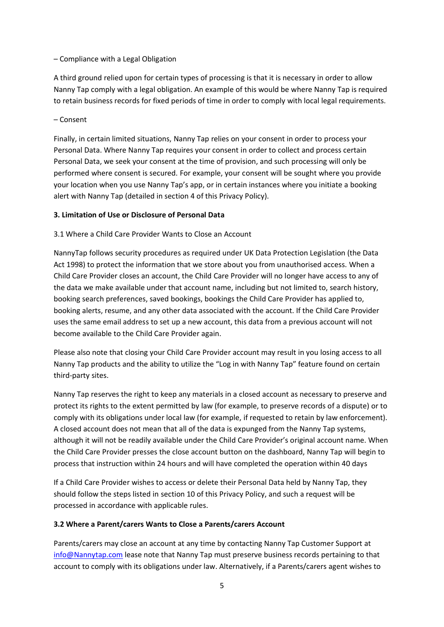#### – Compliance with a Legal Obligation

A third ground relied upon for certain types of processing is that it is necessary in order to allow Nanny Tap comply with a legal obligation. An example of this would be where Nanny Tap is required to retain business records for fixed periods of time in order to comply with local legal requirements.

– Consent

Finally, in certain limited situations, Nanny Tap relies on your consent in order to process your Personal Data. Where Nanny Tap requires your consent in order to collect and process certain Personal Data, we seek your consent at the time of provision, and such processing will only be performed where consent is secured. For example, your consent will be sought where you provide your location when you use Nanny Tap's app, or in certain instances where you initiate a booking alert with Nanny Tap (detailed in section 4 of this Privacy Policy).

### **3. Limitation of Use or Disclosure of Personal Data**

### 3.1 Where a Child Care Provider Wants to Close an Account

NannyTap follows security procedures as required under UK Data Protection Legislation (the Data Act 1998) to protect the information that we store about you from unauthorised access. When a Child Care Provider closes an account, the Child Care Provider will no longer have access to any of the data we make available under that account name, including but not limited to, search history, booking search preferences, saved bookings, bookings the Child Care Provider has applied to, booking alerts, resume, and any other data associated with the account. If the Child Care Provider uses the same email address to set up a new account, this data from a previous account will not become available to the Child Care Provider again.

Please also note that closing your Child Care Provider account may result in you losing access to all Nanny Tap products and the ability to utilize the "Log in with Nanny Tap" feature found on certain third-party sites.

Nanny Tap reserves the right to keep any materials in a closed account as necessary to preserve and protect its rights to the extent permitted by law (for example, to preserve records of a dispute) or to comply with its obligations under local law (for example, if requested to retain by law enforcement). A closed account does not mean that all of the data is expunged from the Nanny Tap systems, although it will not be readily available under the Child Care Provider's original account name. When the Child Care Provider presses the close account button on the dashboard, Nanny Tap will begin to process that instruction within 24 hours and will have completed the operation within 40 days

If a Child Care Provider wishes to access or delete their Personal Data held by Nanny Tap, they should follow the steps listed in section 10 of this Privacy Policy, and such a request will be processed in accordance with applicable rules.

### **3.2 Where a Parent/carers Wants to Close a Parents/carers Account**

Parents/carers may close an account at any time by contacting Nanny Tap Customer Support at [info@Nannytap.com](mailto:info@Nannytap.com) lease note that Nanny Tap must preserve business records pertaining to that account to comply with its obligations under law. Alternatively, if a Parents/carers agent wishes to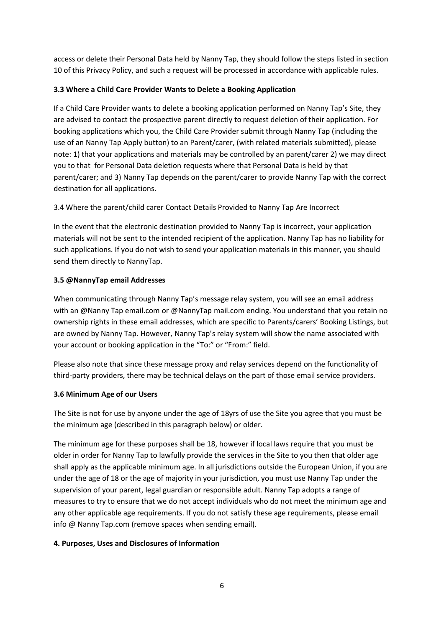access or delete their Personal Data held by Nanny Tap, they should follow the steps listed in section 10 of this Privacy Policy, and such a request will be processed in accordance with applicable rules.

## **3.3 Where a Child Care Provider Wants to Delete a Booking Application**

If a Child Care Provider wants to delete a booking application performed on Nanny Tap's Site, they are advised to contact the prospective parent directly to request deletion of their application. For booking applications which you, the Child Care Provider submit through Nanny Tap (including the use of an Nanny Tap Apply button) to an Parent/carer, (with related materials submitted), please note: 1) that your applications and materials may be controlled by an parent/carer 2) we may direct you to that for Personal Data deletion requests where that Personal Data is held by that parent/carer; and 3) Nanny Tap depends on the parent/carer to provide Nanny Tap with the correct destination for all applications.

3.4 Where the parent/child carer Contact Details Provided to Nanny Tap Are Incorrect

In the event that the electronic destination provided to Nanny Tap is incorrect, your application materials will not be sent to the intended recipient of the application. Nanny Tap has no liability for such applications. If you do not wish to send your application materials in this manner, you should send them directly to NannyTap.

# **3.5 @NannyTap email Addresses**

When communicating through Nanny Tap's message relay system, you will see an email address with an @Nanny Tap email.com or @NannyTap mail.com ending. You understand that you retain no ownership rights in these email addresses, which are specific to Parents/carers' Booking Listings, but are owned by Nanny Tap. However, Nanny Tap's relay system will show the name associated with your account or booking application in the "To:" or "From:" field.

Please also note that since these message proxy and relay services depend on the functionality of third-party providers, there may be technical delays on the part of those email service providers.

### **3.6 Minimum Age of our Users**

The Site is not for use by anyone under the age of 18yrs of use the Site you agree that you must be the minimum age (described in this paragraph below) or older.

The minimum age for these purposes shall be 18, however if local laws require that you must be older in order for Nanny Tap to lawfully provide the services in the Site to you then that older age shall apply as the applicable minimum age. In all jurisdictions outside the European Union, if you are under the age of 18 or the age of majority in your jurisdiction, you must use Nanny Tap under the supervision of your parent, legal guardian or responsible adult. Nanny Tap adopts a range of measures to try to ensure that we do not accept individuals who do not meet the minimum age and any other applicable age requirements. If you do not satisfy these age requirements, please email info @ Nanny Tap.com (remove spaces when sending email).

### **4. Purposes, Uses and Disclosures of Information**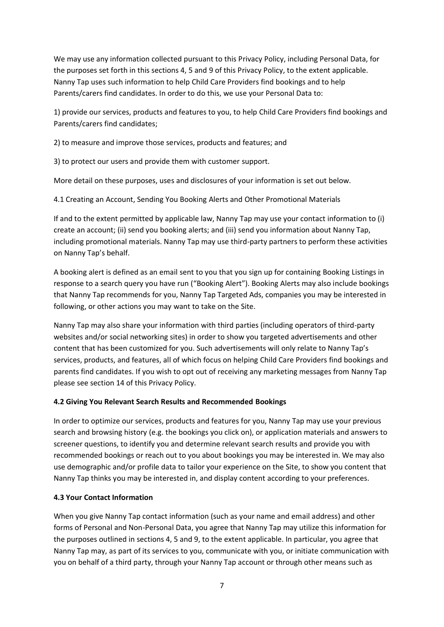We may use any information collected pursuant to this Privacy Policy, including Personal Data, for the purposes set forth in this sections 4, 5 and 9 of this Privacy Policy, to the extent applicable. Nanny Tap uses such information to help Child Care Providers find bookings and to help Parents/carers find candidates. In order to do this, we use your Personal Data to:

1) provide our services, products and features to you, to help Child Care Providers find bookings and Parents/carers find candidates;

2) to measure and improve those services, products and features; and

3) to protect our users and provide them with customer support.

More detail on these purposes, uses and disclosures of your information is set out below.

4.1 Creating an Account, Sending You Booking Alerts and Other Promotional Materials

If and to the extent permitted by applicable law, Nanny Tap may use your contact information to (i) create an account; (ii) send you booking alerts; and (iii) send you information about Nanny Tap, including promotional materials. Nanny Tap may use third-party partners to perform these activities on Nanny Tap's behalf.

A booking alert is defined as an email sent to you that you sign up for containing Booking Listings in response to a search query you have run ("Booking Alert"). Booking Alerts may also include bookings that Nanny Tap recommends for you, Nanny Tap Targeted Ads, companies you may be interested in following, or other actions you may want to take on the Site.

Nanny Tap may also share your information with third parties (including operators of third-party websites and/or social networking sites) in order to show you targeted advertisements and other content that has been customized for you. Such advertisements will only relate to Nanny Tap's services, products, and features, all of which focus on helping Child Care Providers find bookings and parents find candidates. If you wish to opt out of receiving any marketing messages from Nanny Tap please see section 14 of this Privacy Policy.

### **4.2 Giving You Relevant Search Results and Recommended Bookings**

In order to optimize our services, products and features for you, Nanny Tap may use your previous search and browsing history (e.g. the bookings you click on), or application materials and answers to screener questions, to identify you and determine relevant search results and provide you with recommended bookings or reach out to you about bookings you may be interested in. We may also use demographic and/or profile data to tailor your experience on the Site, to show you content that Nanny Tap thinks you may be interested in, and display content according to your preferences.

# **4.3 Your Contact Information**

When you give Nanny Tap contact information (such as your name and email address) and other forms of Personal and Non-Personal Data, you agree that Nanny Tap may utilize this information for the purposes outlined in sections 4, 5 and 9, to the extent applicable. In particular, you agree that Nanny Tap may, as part of its services to you, communicate with you, or initiate communication with you on behalf of a third party, through your Nanny Tap account or through other means such as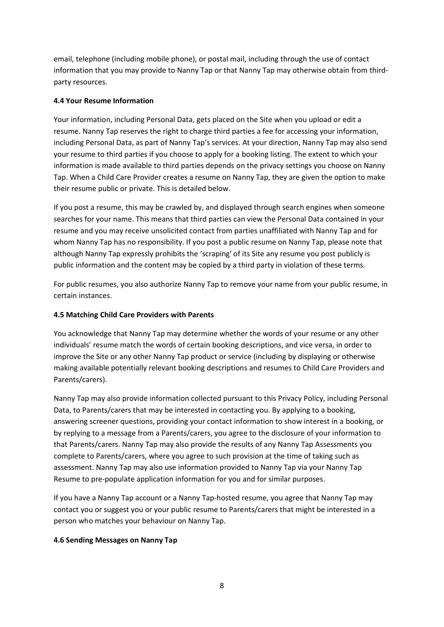email, telephone (including mobile phone), or postal mail, including through the use of contact information that you may provide to Nanny Tap or that Nanny Tap may otherwise obtain from thirdparty resources.

### **4.4 Your Resume Information**

Your information, including Personal Data, gets placed on the Site when you upload or edit a resume. Nanny Tap reserves the right to charge third parties a fee for accessing your information, including Personal Data, as part of Nanny Tap's services. At your direction, Nanny Tap may also send your resume to third parties if you choose to apply for a booking listing. The extent to which your information is made available to third parties depends on the privacy settings you choose on Nanny Tap. When a Child Care Provider creates a resume on Nanny Tap, they are given the option to make their resume public or private. This is detailed below.

If you post a resume, this may be crawled by, and displayed through search engines when someone searches for your name. This means that third parties can view the Personal Data contained in your resume and you may receive unsolicited contact from parties unaffiliated with Nanny Tap and for whom Nanny Tap has no responsibility. If you post a public resume on Nanny Tap, please note that although Nanny Tap expressly prohibits the 'scraping' of its Site any resume you post publicly is public information and the content may be copied by a third party in violation of these terms.

For public resumes, you also authorize Nanny Tap to remove your name from your public resume, in certain instances.

### **4.5 Matching Child Care Providers with Parents**

You acknowledge that Nanny Tap may determine whether the words of your resume or any other individuals' resume match the words of certain booking descriptions, and vice versa, in order to improve the Site or any other Nanny Tap product or service (including by displaying or otherwise making available potentially relevant booking descriptions and resumes to Child Care Providers and Parents/carers).

Nanny Tap may also provide information collected pursuant to this Privacy Policy, including Personal Data, to Parents/carers that may be interested in contacting you. By applying to a booking, answering screener questions, providing your contact information to show interest in a booking, or by replying to a message from a Parents/carers, you agree to the disclosure of your information to that Parents/carers. Nanny Tap may also provide the results of any Nanny Tap Assessments you complete to Parents/carers, where you agree to such provision at the time of taking such as assessment. Nanny Tap may also use information provided to Nanny Tap via your Nanny Tap Resume to pre-populate application information for you and for similar purposes.

If you have a Nanny Tap account or a Nanny Tap-hosted resume, you agree that Nanny Tap may contact you or suggest you or your public resume to Parents/carers that might be interested in a person who matches your behaviour on Nanny Tap.

#### **4.6 Sending Messages on Nanny Tap**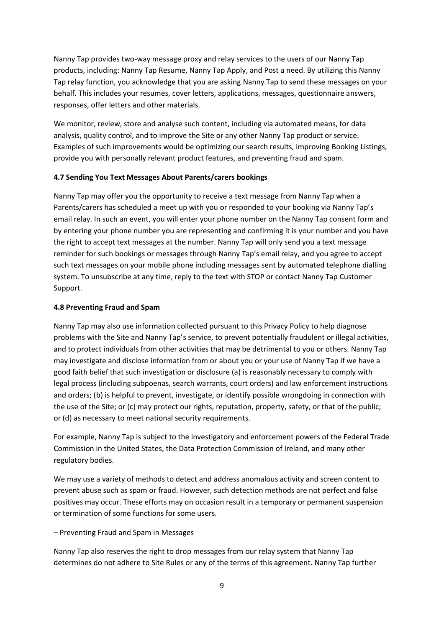Nanny Tap provides two-way message proxy and relay services to the users of our Nanny Tap products, including: Nanny Tap Resume, Nanny Tap Apply, and Post a need. By utilizing this Nanny Tap relay function, you acknowledge that you are asking Nanny Tap to send these messages on your behalf. This includes your resumes, cover letters, applications, messages, questionnaire answers, responses, offer letters and other materials.

We monitor, review, store and analyse such content, including via automated means, for data analysis, quality control, and to improve the Site or any other Nanny Tap product or service. Examples of such improvements would be optimizing our search results, improving Booking Listings, provide you with personally relevant product features, and preventing fraud and spam.

#### **4.7 Sending You Text Messages About Parents/carers bookings**

Nanny Tap may offer you the opportunity to receive a text message from Nanny Tap when a Parents/carers has scheduled a meet up with you or responded to your booking via Nanny Tap's email relay. In such an event, you will enter your phone number on the Nanny Tap consent form and by entering your phone number you are representing and confirming it is your number and you have the right to accept text messages at the number. Nanny Tap will only send you a text message reminder for such bookings or messages through Nanny Tap's email relay, and you agree to accept such text messages on your mobile phone including messages sent by automated telephone dialling system. To unsubscribe at any time, reply to the text with STOP or contact Nanny Tap Customer Support.

#### **4.8 Preventing Fraud and Spam**

Nanny Tap may also use information collected pursuant to this Privacy Policy to help diagnose problems with the Site and Nanny Tap's service, to prevent potentially fraudulent or illegal activities, and to protect individuals from other activities that may be detrimental to you or others. Nanny Tap may investigate and disclose information from or about you or your use of Nanny Tap if we have a good faith belief that such investigation or disclosure (a) is reasonably necessary to comply with legal process (including subpoenas, search warrants, court orders) and law enforcement instructions and orders; (b) is helpful to prevent, investigate, or identify possible wrongdoing in connection with the use of the Site; or (c) may protect our rights, reputation, property, safety, or that of the public; or (d) as necessary to meet national security requirements.

For example, Nanny Tap is subject to the investigatory and enforcement powers of the Federal Trade Commission in the United States, the Data Protection Commission of Ireland, and many other regulatory bodies.

We may use a variety of methods to detect and address anomalous activity and screen content to prevent abuse such as spam or fraud. However, such detection methods are not perfect and false positives may occur. These efforts may on occasion result in a temporary or permanent suspension or termination of some functions for some users.

### – Preventing Fraud and Spam in Messages

Nanny Tap also reserves the right to drop messages from our relay system that Nanny Tap determines do not adhere to Site Rules or any of the terms of this agreement. Nanny Tap further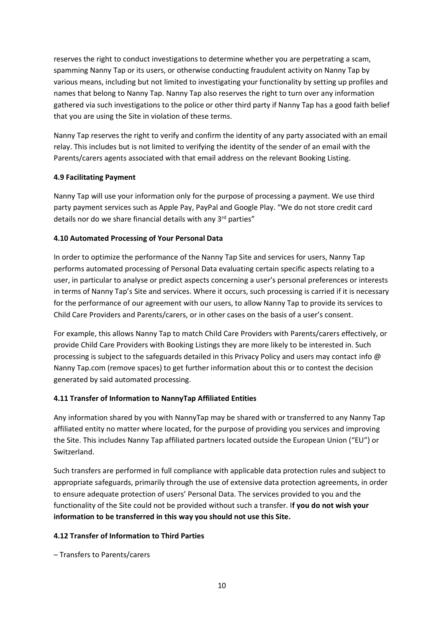reserves the right to conduct investigations to determine whether you are perpetrating a scam, spamming Nanny Tap or its users, or otherwise conducting fraudulent activity on Nanny Tap by various means, including but not limited to investigating your functionality by setting up profiles and names that belong to Nanny Tap. Nanny Tap also reserves the right to turn over any information gathered via such investigations to the police or other third party if Nanny Tap has a good faith belief that you are using the Site in violation of these terms.

Nanny Tap reserves the right to verify and confirm the identity of any party associated with an email relay. This includes but is not limited to verifying the identity of the sender of an email with the Parents/carers agents associated with that email address on the relevant Booking Listing.

### **4.9 Facilitating Payment**

Nanny Tap will use your information only for the purpose of processing a payment. We use third party payment services such as Apple Pay, PayPal and Google Play. "We do not store credit card details nor do we share financial details with any 3<sup>rd</sup> parties"

### **4.10 Automated Processing of Your Personal Data**

In order to optimize the performance of the Nanny Tap Site and services for users, Nanny Tap performs automated processing of Personal Data evaluating certain specific aspects relating to a user, in particular to analyse or predict aspects concerning a user's personal preferences or interests in terms of Nanny Tap's Site and services. Where it occurs, such processing is carried if it is necessary for the performance of our agreement with our users, to allow Nanny Tap to provide its services to Child Care Providers and Parents/carers, or in other cases on the basis of a user's consent.

For example, this allows Nanny Tap to match Child Care Providers with Parents/carers effectively, or provide Child Care Providers with Booking Listings they are more likely to be interested in. Such processing is subject to the safeguards detailed in this Privacy Policy and users may contact info @ Nanny Tap.com (remove spaces) to get further information about this or to contest the decision generated by said automated processing.

### **4.11 Transfer of Information to NannyTap Affiliated Entities**

Any information shared by you with NannyTap may be shared with or transferred to any Nanny Tap affiliated entity no matter where located, for the purpose of providing you services and improving the Site. This includes Nanny Tap affiliated partners located outside the European Union ("EU") or Switzerland.

Such transfers are performed in full compliance with applicable data protection rules and subject to appropriate safeguards, primarily through the use of extensive data protection agreements, in order to ensure adequate protection of users' Personal Data. The services provided to you and the functionality of the Site could not be provided without such a transfer. I**f you do not wish your information to be transferred in this way you should not use this Site.**

### **4.12 Transfer of Information to Third Parties**

– Transfers to Parents/carers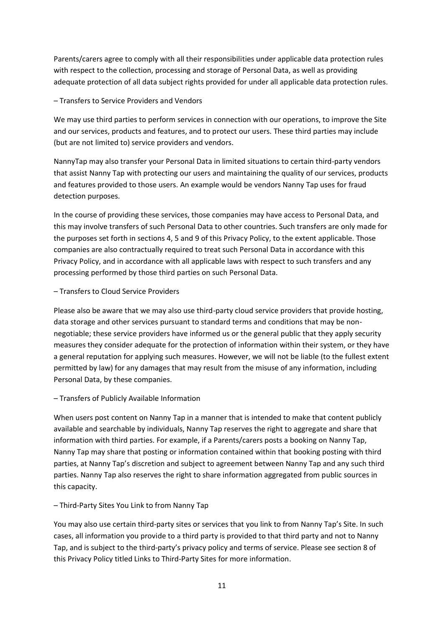Parents/carers agree to comply with all their responsibilities under applicable data protection rules with respect to the collection, processing and storage of Personal Data, as well as providing adequate protection of all data subject rights provided for under all applicable data protection rules.

### – Transfers to Service Providers and Vendors

We may use third parties to perform services in connection with our operations, to improve the Site and our services, products and features, and to protect our users. These third parties may include (but are not limited to) service providers and vendors.

NannyTap may also transfer your Personal Data in limited situations to certain third-party vendors that assist Nanny Tap with protecting our users and maintaining the quality of our services, products and features provided to those users. An example would be vendors Nanny Tap uses for fraud detection purposes.

In the course of providing these services, those companies may have access to Personal Data, and this may involve transfers of such Personal Data to other countries. Such transfers are only made for the purposes set forth in sections 4, 5 and 9 of this Privacy Policy, to the extent applicable. Those companies are also contractually required to treat such Personal Data in accordance with this Privacy Policy, and in accordance with all applicable laws with respect to such transfers and any processing performed by those third parties on such Personal Data.

#### – Transfers to Cloud Service Providers

Please also be aware that we may also use third-party cloud service providers that provide hosting, data storage and other services pursuant to standard terms and conditions that may be nonnegotiable; these service providers have informed us or the general public that they apply security measures they consider adequate for the protection of information within their system, or they have a general reputation for applying such measures. However, we will not be liable (to the fullest extent permitted by law) for any damages that may result from the misuse of any information, including Personal Data, by these companies.

#### – Transfers of Publicly Available Information

When users post content on Nanny Tap in a manner that is intended to make that content publicly available and searchable by individuals, Nanny Tap reserves the right to aggregate and share that information with third parties. For example, if a Parents/carers posts a booking on Nanny Tap, Nanny Tap may share that posting or information contained within that booking posting with third parties, at Nanny Tap's discretion and subject to agreement between Nanny Tap and any such third parties. Nanny Tap also reserves the right to share information aggregated from public sources in this capacity.

### – Third-Party Sites You Link to from Nanny Tap

You may also use certain third-party sites or services that you link to from Nanny Tap's Site. In such cases, all information you provide to a third party is provided to that third party and not to Nanny Tap, and is subject to the third-party's privacy policy and terms of service. Please see section 8 of this Privacy Policy titled Links to Third-Party Sites for more information.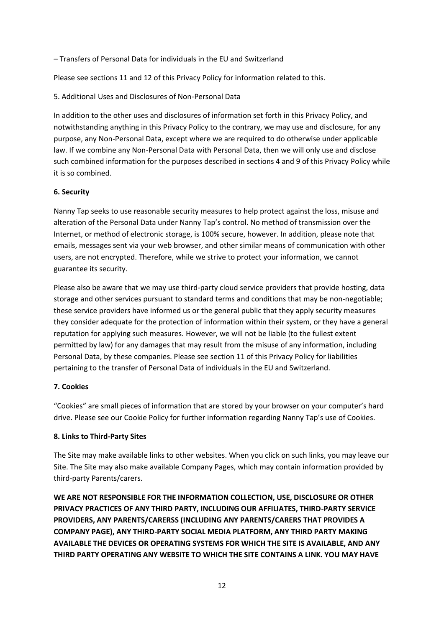– Transfers of Personal Data for individuals in the EU and Switzerland

Please see sections 11 and 12 of this Privacy Policy for information related to this.

5. Additional Uses and Disclosures of Non-Personal Data

In addition to the other uses and disclosures of information set forth in this Privacy Policy, and notwithstanding anything in this Privacy Policy to the contrary, we may use and disclosure, for any purpose, any Non-Personal Data, except where we are required to do otherwise under applicable law. If we combine any Non-Personal Data with Personal Data, then we will only use and disclose such combined information for the purposes described in sections 4 and 9 of this Privacy Policy while it is so combined.

#### **6. Security**

Nanny Tap seeks to use reasonable security measures to help protect against the loss, misuse and alteration of the Personal Data under Nanny Tap's control. No method of transmission over the Internet, or method of electronic storage, is 100% secure, however. In addition, please note that emails, messages sent via your web browser, and other similar means of communication with other users, are not encrypted. Therefore, while we strive to protect your information, we cannot guarantee its security.

Please also be aware that we may use third-party cloud service providers that provide hosting, data storage and other services pursuant to standard terms and conditions that may be non-negotiable; these service providers have informed us or the general public that they apply security measures they consider adequate for the protection of information within their system, or they have a general reputation for applying such measures. However, we will not be liable (to the fullest extent permitted by law) for any damages that may result from the misuse of any information, including Personal Data, by these companies. Please see section 11 of this Privacy Policy for liabilities pertaining to the transfer of Personal Data of individuals in the EU and Switzerland.

### **7. Cookies**

"Cookies" are small pieces of information that are stored by your browser on your computer's hard drive. Please see our Cookie Policy for further information regarding Nanny Tap's use of Cookies.

### **8. Links to Third-Party Sites**

The Site may make available links to other websites. When you click on such links, you may leave our Site. The Site may also make available Company Pages, which may contain information provided by third-party Parents/carers.

**WE ARE NOT RESPONSIBLE FOR THE INFORMATION COLLECTION, USE, DISCLOSURE OR OTHER PRIVACY PRACTICES OF ANY THIRD PARTY, INCLUDING OUR AFFILIATES, THIRD-PARTY SERVICE PROVIDERS, ANY PARENTS/CARERSS (INCLUDING ANY PARENTS/CARERS THAT PROVIDES A COMPANY PAGE), ANY THIRD-PARTY SOCIAL MEDIA PLATFORM, ANY THIRD PARTY MAKING AVAILABLE THE DEVICES OR OPERATING SYSTEMS FOR WHICH THE SITE IS AVAILABLE, AND ANY THIRD PARTY OPERATING ANY WEBSITE TO WHICH THE SITE CONTAINS A LINK. YOU MAY HAVE**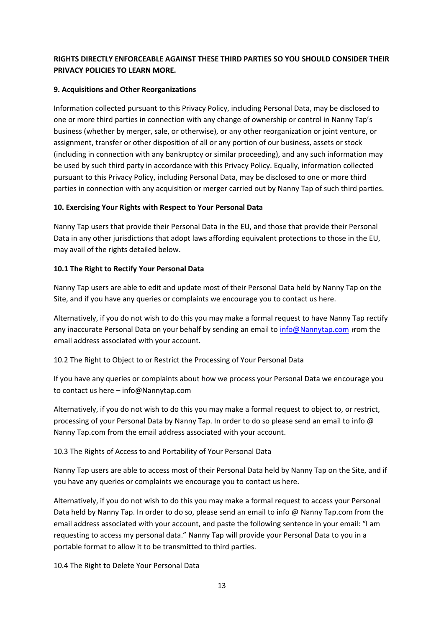# **RIGHTS DIRECTLY ENFORCEABLE AGAINST THESE THIRD PARTIES SO YOU SHOULD CONSIDER THEIR PRIVACY POLICIES TO LEARN MORE.**

### **9. Acquisitions and Other Reorganizations**

Information collected pursuant to this Privacy Policy, including Personal Data, may be disclosed to one or more third parties in connection with any change of ownership or control in Nanny Tap's business (whether by merger, sale, or otherwise), or any other reorganization or joint venture, or assignment, transfer or other disposition of all or any portion of our business, assets or stock (including in connection with any bankruptcy or similar proceeding), and any such information may be used by such third party in accordance with this Privacy Policy. Equally, information collected pursuant to this Privacy Policy, including Personal Data, may be disclosed to one or more third parties in connection with any acquisition or merger carried out by Nanny Tap of such third parties.

# **10. Exercising Your Rights with Respect to Your Personal Data**

Nanny Tap users that provide their Personal Data in the EU, and those that provide their Personal Data in any other jurisdictions that adopt laws affording equivalent protections to those in the EU, may avail of the rights detailed below.

### **10.1 The Right to Rectify Your Personal Data**

Nanny Tap users are able to edit and update most of their Personal Data held by Nanny Tap on the Site, and if you have any queries or complaints we encourage you to contact us here.

Alternatively, if you do not wish to do this you may make a formal request to have Nanny Tap rectify any inaccurate Personal Data on your behalf by sending an email to [info@Nannytap.com](mailto:info@NannyTap.com) from the email address associated with your account.

10.2 The Right to Object to or Restrict the Processing of Your Personal Data

If you have any queries or complaints about how we process your Personal Data we encourage you to contact us here – info@Nannytap.com

Alternatively, if you do not wish to do this you may make a formal request to object to, or restrict, processing of your Personal Data by Nanny Tap. In order to do so please send an email to info @ Nanny Tap.com from the email address associated with your account.

10.3 The Rights of Access to and Portability of Your Personal Data

Nanny Tap users are able to access most of their Personal Data held by Nanny Tap on the Site, and if you have any queries or complaints we encourage you to contact us here.

Alternatively, if you do not wish to do this you may make a formal request to access your Personal Data held by Nanny Tap. In order to do so, please send an email to info @ Nanny Tap.com from the email address associated with your account, and paste the following sentence in your email: "I am requesting to access my personal data." Nanny Tap will provide your Personal Data to you in a portable format to allow it to be transmitted to third parties.

10.4 The Right to Delete Your Personal Data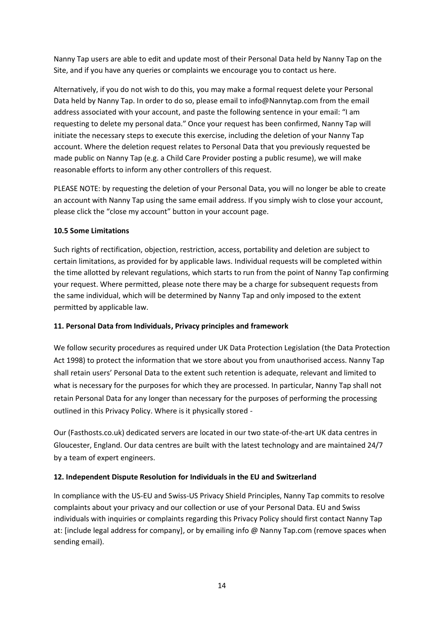Nanny Tap users are able to edit and update most of their Personal Data held by Nanny Tap on the Site, and if you have any queries or complaints we encourage you to contact us here.

Alternatively, if you do not wish to do this, you may make a formal request delete your Personal Data held by Nanny Tap. In order to do so, please email to info@Nannytap.com from the email address associated with your account, and paste the following sentence in your email: "I am requesting to delete my personal data." Once your request has been confirmed, Nanny Tap will initiate the necessary steps to execute this exercise, including the deletion of your Nanny Tap account. Where the deletion request relates to Personal Data that you previously requested be made public on Nanny Tap (e.g. a Child Care Provider posting a public resume), we will make reasonable efforts to inform any other controllers of this request.

PLEASE NOTE: by requesting the deletion of your Personal Data, you will no longer be able to create an account with Nanny Tap using the same email address. If you simply wish to close your account, please click the "close my account" button in your account page.

### **10.5 Some Limitations**

Such rights of rectification, objection, restriction, access, portability and deletion are subject to certain limitations, as provided for by applicable laws. Individual requests will be completed within the time allotted by relevant regulations, which starts to run from the point of Nanny Tap confirming your request. Where permitted, please note there may be a charge for subsequent requests from the same individual, which will be determined by Nanny Tap and only imposed to the extent permitted by applicable law.

### **11. Personal Data from Individuals, Privacy principles and framework**

We follow security procedures as required under UK Data Protection Legislation (the Data Protection Act 1998) to protect the information that we store about you from unauthorised access. Nanny Tap shall retain users' Personal Data to the extent such retention is adequate, relevant and limited to what is necessary for the purposes for which they are processed. In particular, Nanny Tap shall not retain Personal Data for any longer than necessary for the purposes of performing the processing outlined in this Privacy Policy. Where is it physically stored -

Our (Fasthosts.co.uk) dedicated servers are located in our two state-of-the-art UK data centres in Gloucester, England. Our data centres are built with the latest technology and are maintained 24/7 by a team of expert engineers.

# **12. Independent Dispute Resolution for Individuals in the EU and Switzerland**

In compliance with the US-EU and Swiss-US Privacy Shield Principles, Nanny Tap commits to resolve complaints about your privacy and our collection or use of your Personal Data. EU and Swiss individuals with inquiries or complaints regarding this Privacy Policy should first contact Nanny Tap at: [include legal address for company], or by emailing info @ Nanny Tap.com (remove spaces when sending email).